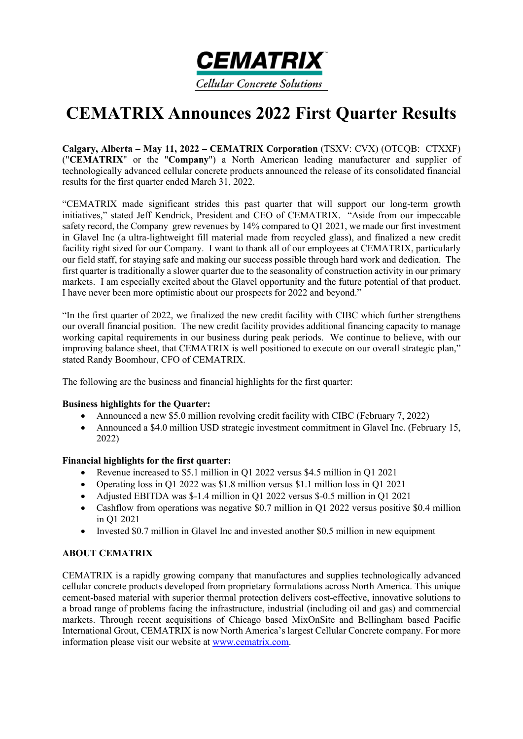

# **CEMATRIX Announces 2022 First Quarter Results**

**Calgary, Alberta – May 11, 2022 – CEMATRIX Corporation** (TSXV: CVX) (OTCQB: CTXXF) ("**CEMATRIX**" or the "**Company**") a North American leading manufacturer and supplier of technologically advanced cellular concrete products announced the release of its consolidated financial results for the first quarter ended March 31, 2022.

"CEMATRIX made significant strides this past quarter that will support our long-term growth initiatives," stated Jeff Kendrick, President and CEO of CEMATRIX. "Aside from our impeccable safety record, the Company grew revenues by 14% compared to Q1 2021, we made our first investment in Glavel Inc (a ultra-lightweight fill material made from recycled glass), and finalized a new credit facility right sized for our Company. I want to thank all of our employees at CEMATRIX, particularly our field staff, for staying safe and making our success possible through hard work and dedication. The first quarter is traditionally a slower quarter due to the seasonality of construction activity in our primary markets. I am especially excited about the Glavel opportunity and the future potential of that product. I have never been more optimistic about our prospects for 2022 and beyond."

"In the first quarter of 2022, we finalized the new credit facility with CIBC which further strengthens our overall financial position. The new credit facility provides additional financing capacity to manage working capital requirements in our business during peak periods. We continue to believe, with our improving balance sheet, that CEMATRIX is well positioned to execute on our overall strategic plan," stated Randy Boomhour, CFO of CEMATRIX.

The following are the business and financial highlights for the first quarter:

# **Business highlights for the Quarter:**

- Announced a new \$5.0 million revolving credit facility with CIBC (February 7, 2022)
- Announced a \$4.0 million USD strategic investment commitment in Glavel Inc. (February 15, 2022)

# **Financial highlights for the first quarter:**

- Revenue increased to \$5.1 million in Q1 2022 versus \$4.5 million in Q1 2021
- Operating loss in Q1 2022 was \$1.8 million versus \$1.1 million loss in Q1 2021
- Adjusted EBITDA was \$-1.4 million in Q1 2022 versus \$-0.5 million in Q1 2021
- Cashflow from operations was negative \$0.7 million in O1 2022 versus positive \$0.4 million in Q1 2021
- Invested \$0.7 million in Glavel Inc and invested another \$0.5 million in new equipment

# **ABOUT CEMATRIX**

CEMATRIX is a rapidly growing company that manufactures and supplies technologically advanced cellular concrete products developed from proprietary formulations across North America. This unique cement-based material with superior thermal protection delivers cost-effective, innovative solutions to a broad range of problems facing the infrastructure, industrial (including oil and gas) and commercial markets. Through recent acquisitions of Chicago based MixOnSite and Bellingham based Pacific International Grout, CEMATRIX is now North America's largest Cellular Concrete company. For more information please visit our website at www.cematrix.com.